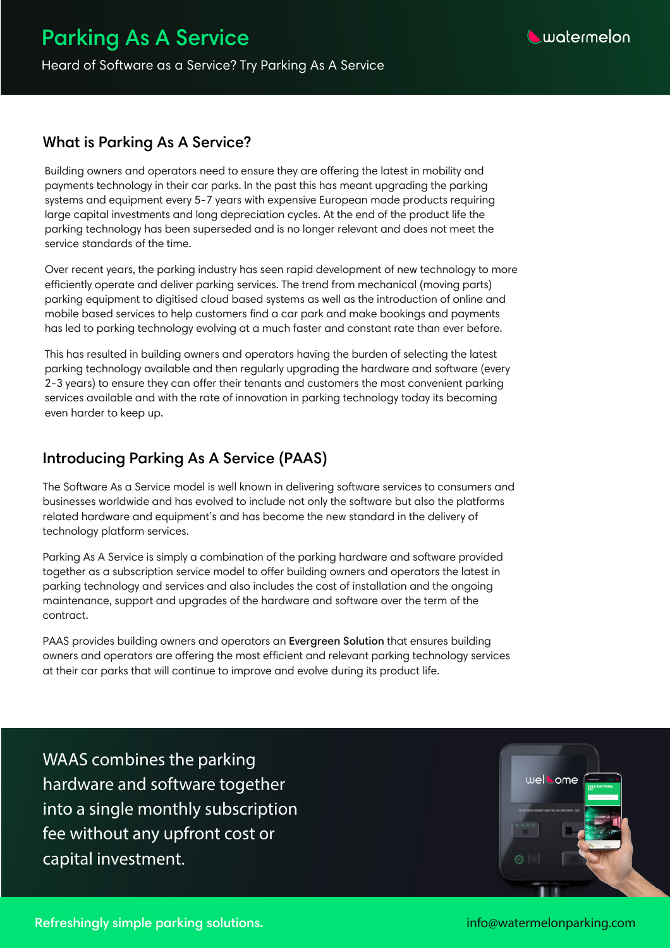WAAS combines the parking hardware and software together into a single monthly subscription fee without any upfront cost or capital investment.



#### **What is Parking As A Service?**

Building owners and operators need to ensure they are offering the latest in mobility and payments technology in their car parks. In the past this has meant upgrading the parking systems and equipment every 5-7 years with expensive European made products requiring large capital investments and long depreciation cycles. At the end of the product life the parking technology has been superseded and is no longer relevant and does not meet the

Over recent years, the parking industry has seen rapid development of new technology to more efficiently operate and deliver parking services. The trend from mechanical (moving parts) parking equipment to digitised cloud based systems as well as the introduction of online and mobile based services to help customers find a car park and make bookings and payments has led to parking technology evolving at a much faster and constant rate than ever before.

This has resulted in building owners and operators having the burden of selecting the latest parking technology available and then regularly upgrading the hardware and software (every 2-3 years) to ensure they can offer their tenants and customers the most convenient parking services available and with the rate of innovation in parking technology today its becoming even harder to keep up.

### **Introducing Parking As A Service (PAAS)**

The Software As a Service model is well known in delivering software services to consumers and businesses worldwide and has evolved to include not only the software but also the platforms related hardware and equipment's and has become the new standard in the delivery of technology platform services.

Parking As A Service is simply a combination of the parking hardware and software provided together as a subscription service model to offer building owners and operators the latest in parking technology and services and also includes the cost of installation and the ongoing maintenance, support and upgrades of the hardware and software over the term of the contract.

PAAS provides building owners and operators an **Evergreen Solution** that ensures building owners and operators are offering the most efficient and relevant parking technology services at their car parks that will continue to improve and evolve during its product life.

# **Parking As A Service**



Heard of Software as a Service? Try Parking As A Service

**Refreshingly simple parking solutions.** info@watermelonparking.com